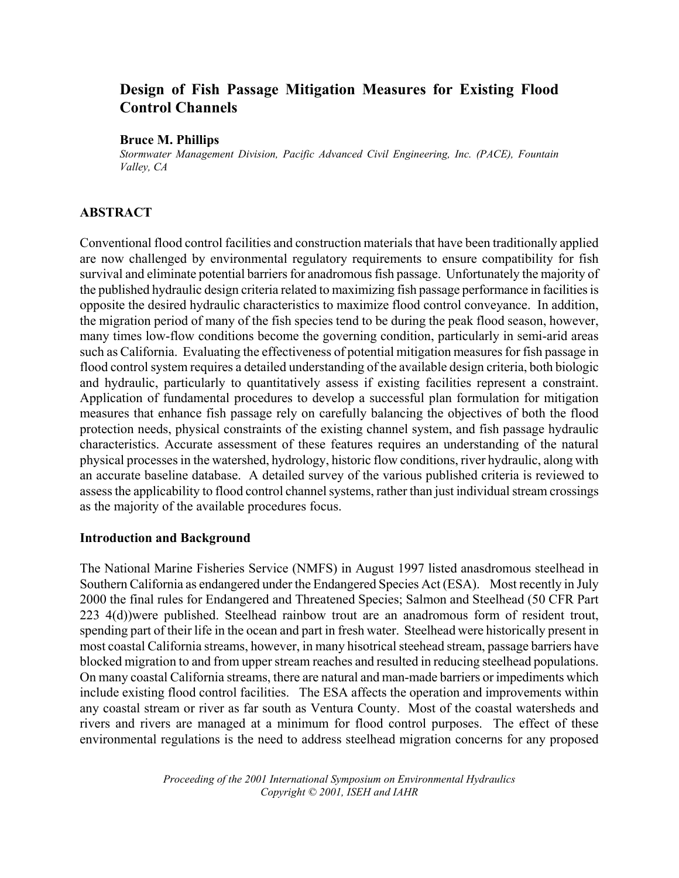# **Design of Fish Passage Mitigation Measures for Existing Flood Control Channels**

#### **Bruce M. Phillips**

*Stormwater Management Division, Pacific Advanced Civil Engineering, Inc. (PACE), Fountain Valley, CA*

## **ABSTRACT**

Conventional flood control facilities and construction materials that have been traditionally applied are now challenged by environmental regulatory requirements to ensure compatibility for fish survival and eliminate potential barriers for anadromous fish passage. Unfortunately the majority of the published hydraulic design criteria related to maximizing fish passage performance in facilities is opposite the desired hydraulic characteristics to maximize flood control conveyance. In addition, the migration period of many of the fish species tend to be during the peak flood season, however, many times low-flow conditions become the governing condition, particularly in semi-arid areas such as California. Evaluating the effectiveness of potential mitigation measures for fish passage in flood control system requires a detailed understanding of the available design criteria, both biologic and hydraulic, particularly to quantitatively assess if existing facilities represent a constraint. Application of fundamental procedures to develop a successful plan formulation for mitigation measures that enhance fish passage rely on carefully balancing the objectives of both the flood protection needs, physical constraints of the existing channel system, and fish passage hydraulic characteristics. Accurate assessment of these features requires an understanding of the natural physical processes in the watershed, hydrology, historic flow conditions, river hydraulic, along with an accurate baseline database. A detailed survey of the various published criteria is reviewed to assess the applicability to flood control channel systems, rather than just individual stream crossings as the majority of the available procedures focus.

#### **Introduction and Background**

The National Marine Fisheries Service (NMFS) in August 1997 listed anasdromous steelhead in Southern California as endangered under the Endangered Species Act (ESA). Most recently in July 2000 the final rules for Endangered and Threatened Species; Salmon and Steelhead (50 CFR Part 223 4(d))were published. Steelhead rainbow trout are an anadromous form of resident trout, spending part of their life in the ocean and part in fresh water. Steelhead were historically present in most coastal California streams, however, in many hisotrical steehead stream, passage barriers have blocked migration to and from upper stream reaches and resulted in reducing steelhead populations. On many coastal California streams, there are natural and man-made barriers or impediments which include existing flood control facilities. The ESA affects the operation and improvements within any coastal stream or river as far south as Ventura County. Most of the coastal watersheds and rivers and rivers are managed at a minimum for flood control purposes. The effect of these environmental regulations is the need to address steelhead migration concerns for any proposed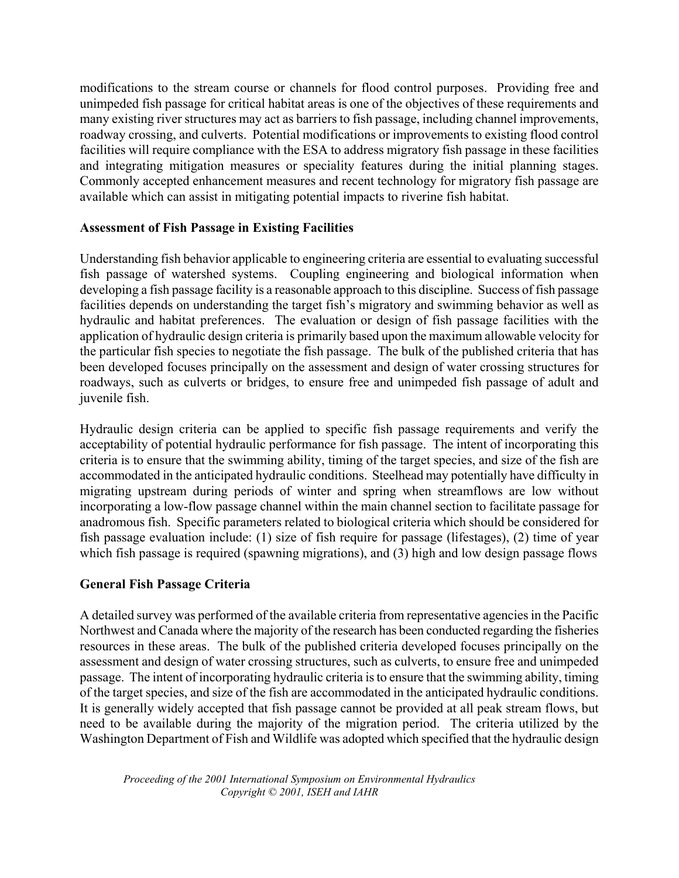modifications to the stream course or channels for flood control purposes. Providing free and unimpeded fish passage for critical habitat areas is one of the objectives of these requirements and many existing river structures may act as barriers to fish passage, including channel improvements, roadway crossing, and culverts. Potential modifications or improvements to existing flood control facilities will require compliance with the ESA to address migratory fish passage in these facilities and integrating mitigation measures or speciality features during the initial planning stages. Commonly accepted enhancement measures and recent technology for migratory fish passage are available which can assist in mitigating potential impacts to riverine fish habitat.

## **Assessment of Fish Passage in Existing Facilities**

Understanding fish behavior applicable to engineering criteria are essential to evaluating successful fish passage of watershed systems. Coupling engineering and biological information when developing a fish passage facility is a reasonable approach to this discipline. Success of fish passage facilities depends on understanding the target fish's migratory and swimming behavior as well as hydraulic and habitat preferences. The evaluation or design of fish passage facilities with the application of hydraulic design criteria is primarily based upon the maximum allowable velocity for the particular fish species to negotiate the fish passage. The bulk of the published criteria that has been developed focuses principally on the assessment and design of water crossing structures for roadways, such as culverts or bridges, to ensure free and unimpeded fish passage of adult and juvenile fish.

Hydraulic design criteria can be applied to specific fish passage requirements and verify the acceptability of potential hydraulic performance for fish passage. The intent of incorporating this criteria is to ensure that the swimming ability, timing of the target species, and size of the fish are accommodated in the anticipated hydraulic conditions. Steelhead may potentially have difficulty in migrating upstream during periods of winter and spring when streamflows are low without incorporating a low-flow passage channel within the main channel section to facilitate passage for anadromous fish. Specific parameters related to biological criteria which should be considered for fish passage evaluation include: (1) size of fish require for passage (lifestages), (2) time of year which fish passage is required (spawning migrations), and (3) high and low design passage flows

## **General Fish Passage Criteria**

A detailed survey was performed of the available criteria from representative agencies in the Pacific Northwest and Canada where the majority of the research has been conducted regarding the fisheries resources in these areas. The bulk of the published criteria developed focuses principally on the assessment and design of water crossing structures, such as culverts, to ensure free and unimpeded passage. The intent of incorporating hydraulic criteria is to ensure that the swimming ability, timing of the target species, and size of the fish are accommodated in the anticipated hydraulic conditions. It is generally widely accepted that fish passage cannot be provided at all peak stream flows, but need to be available during the majority of the migration period. The criteria utilized by the Washington Department of Fish and Wildlife was adopted which specified that the hydraulic design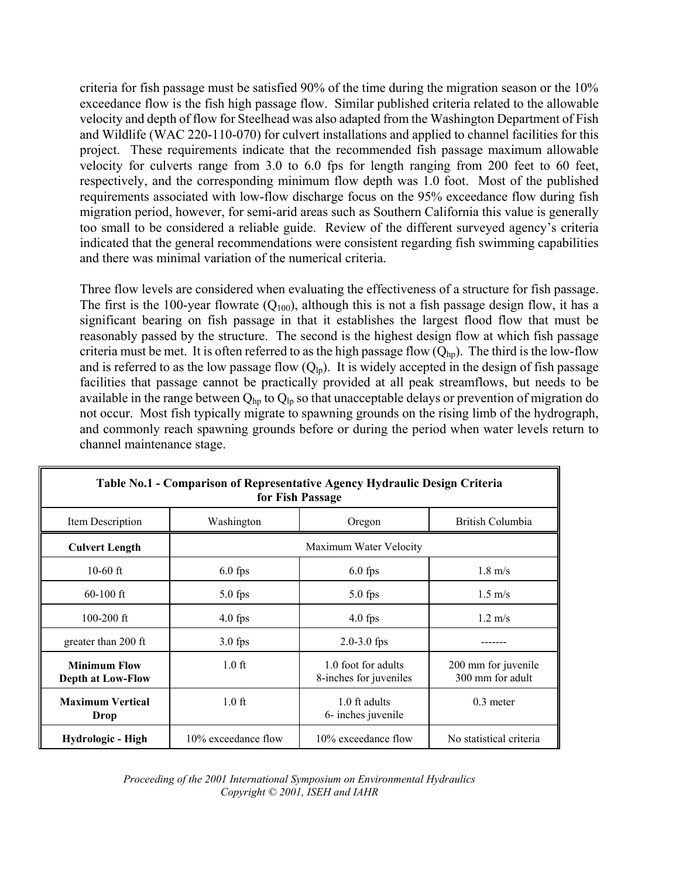criteria for fish passage must be satisfied 90% of the time during the migration season or the 10% exceedance flow is the fish high passage flow. Similar published criteria related to the allowable velocity and depth of flow for Steelhead was also adapted from the Washington Department of Fish and Wildlife (WAC 220-110-070) for culvert installations and applied to channel facilities for this project. These requirements indicate that the recommended fish passage maximum allowable velocity for culverts range from 3.0 to 6.0 fps for length ranging from 200 feet to 60 feet, respectively, and the corresponding minimum flow depth was 1.0 foot. Most of the published requirements associated with low-flow discharge focus on the 95% exceedance flow during fish migration period, however, for semi-arid areas such as Southern California this value is generally too small to be considered a reliable guide. Review of the different surveyed agency's criteria indicated that the general recommendations were consistent regarding fish swimming capabilities and there was minimal variation of the numerical criteria.

Three flow levels are considered when evaluating the effectiveness of a structure for fish passage. The first is the 100-year flowrate  $(Q_{100})$ , although this is not a fish passage design flow, it has a significant bearing on fish passage in that it establishes the largest flood flow that must be reasonably passed by the structure. The second is the highest design flow at which fish passage criteria must be met. It is often referred to as the high passage flow  $(Q_{hp})$ . The third is the low-flow and is referred to as the low passage flow  $(Q<sub>ln</sub>)$ . It is widely accepted in the design of fish passage facilities that passage cannot be practically provided at all peak streamflows, but needs to be available in the range between  $Q_{hp}$  to  $Q_{lp}$  so that unacceptable delays or prevention of migration do not occur. Most fish typically migrate to spawning grounds on the rising limb of the hydrograph, and commonly reach spawning grounds before or during the period when water levels return to channel maintenance stage.

| Table No.1 - Comparison of Representative Agency Hydraulic Design Criteria<br>for Fish Passage |                        |                                               |                                         |  |  |
|------------------------------------------------------------------------------------------------|------------------------|-----------------------------------------------|-----------------------------------------|--|--|
| Item Description                                                                               | Washington             | Oregon                                        | British Columbia                        |  |  |
| <b>Culvert Length</b>                                                                          | Maximum Water Velocity |                                               |                                         |  |  |
| $10-60$ ft                                                                                     | $6.0$ fps              | $6.0$ fps                                     | $1.8 \text{ m/s}$                       |  |  |
| $60-100$ ft                                                                                    | $5.0$ fps              | $5.0$ fps                                     | $1.5 \text{ m/s}$                       |  |  |
| $100 - 200$ ft                                                                                 | $4.0$ fps              | $4.0$ fps                                     | $1.2 \text{ m/s}$                       |  |  |
| greater than 200 ft                                                                            | $3.0$ fps              | $2.0 - 3.0$ fps                               |                                         |  |  |
| <b>Minimum Flow</b><br><b>Depth at Low-Flow</b>                                                | $1.0$ ft               | 1.0 foot for adults<br>8-inches for juveniles | 200 mm for juvenile<br>300 mm for adult |  |  |
| <b>Maximum Vertical</b><br>Drop                                                                | $1.0$ ft               | 1.0 ft adults<br>6- inches juvenile           | $0.3$ meter                             |  |  |
| Hydrologic - High                                                                              | 10% exceedance flow    | 10% exceedance flow                           | No statistical criteria                 |  |  |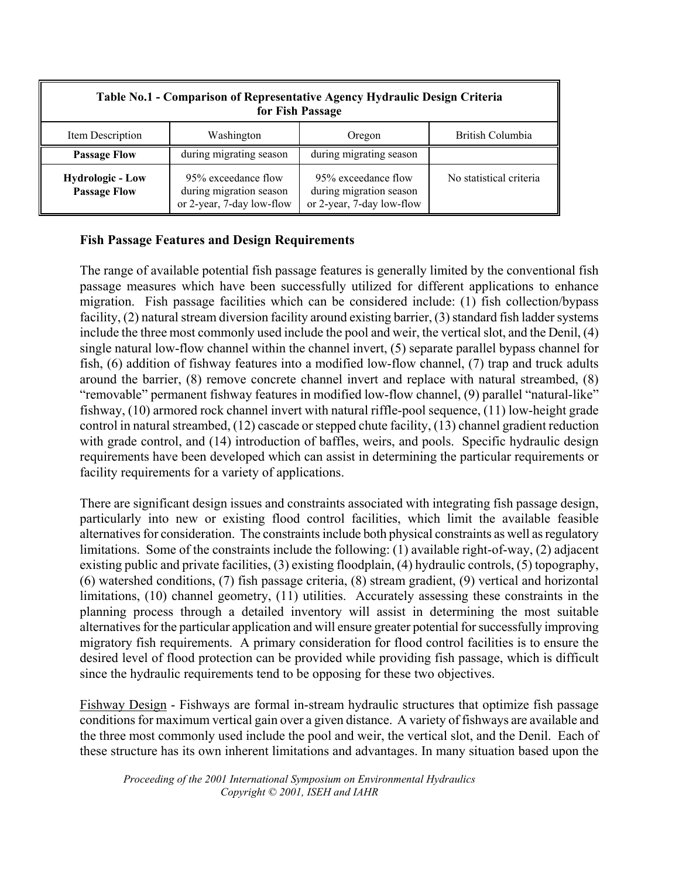| Table No.1 - Comparison of Representative Agency Hydraulic Design Criteria<br>for Fish Passage |                                                                             |                                                                             |                         |  |
|------------------------------------------------------------------------------------------------|-----------------------------------------------------------------------------|-----------------------------------------------------------------------------|-------------------------|--|
| Item Description                                                                               | Washington                                                                  | Oregon                                                                      | British Columbia        |  |
| <b>Passage Flow</b>                                                                            | during migrating season                                                     | during migrating season                                                     |                         |  |
| <b>Hydrologic - Low</b><br><b>Passage Flow</b>                                                 | 95% exceedance flow<br>during migration season<br>or 2-year, 7-day low-flow | 95% exceedance flow<br>during migration season<br>or 2-year, 7-day low-flow | No statistical criteria |  |

## **Fish Passage Features and Design Requirements**

The range of available potential fish passage features is generally limited by the conventional fish passage measures which have been successfully utilized for different applications to enhance migration. Fish passage facilities which can be considered include: (1) fish collection/bypass facility, (2) natural stream diversion facility around existing barrier, (3) standard fish ladder systems include the three most commonly used include the pool and weir, the vertical slot, and the Denil, (4) single natural low-flow channel within the channel invert, (5) separate parallel bypass channel for fish, (6) addition of fishway features into a modified low-flow channel, (7) trap and truck adults around the barrier, (8) remove concrete channel invert and replace with natural streambed, (8) "removable" permanent fishway features in modified low-flow channel, (9) parallel "natural-like" fishway, (10) armored rock channel invert with natural riffle-pool sequence, (11) low-height grade control in natural streambed, (12) cascade or stepped chute facility, (13) channel gradient reduction with grade control, and (14) introduction of baffles, weirs, and pools. Specific hydraulic design requirements have been developed which can assist in determining the particular requirements or facility requirements for a variety of applications.

There are significant design issues and constraints associated with integrating fish passage design, particularly into new or existing flood control facilities, which limit the available feasible alternatives for consideration. The constraints include both physical constraints as well as regulatory limitations. Some of the constraints include the following: (1) available right-of-way, (2) adjacent existing public and private facilities, (3) existing floodplain, (4) hydraulic controls, (5) topography, (6) watershed conditions, (7) fish passage criteria, (8) stream gradient, (9) vertical and horizontal limitations, (10) channel geometry, (11) utilities. Accurately assessing these constraints in the planning process through a detailed inventory will assist in determining the most suitable alternatives for the particular application and will ensure greater potential for successfully improving migratory fish requirements. A primary consideration for flood control facilities is to ensure the desired level of flood protection can be provided while providing fish passage, which is difficult since the hydraulic requirements tend to be opposing for these two objectives.

Fishway Design - Fishways are formal in-stream hydraulic structures that optimize fish passage conditions for maximum vertical gain over a given distance. A variety of fishways are available and the three most commonly used include the pool and weir, the vertical slot, and the Denil. Each of these structure has its own inherent limitations and advantages. In many situation based upon the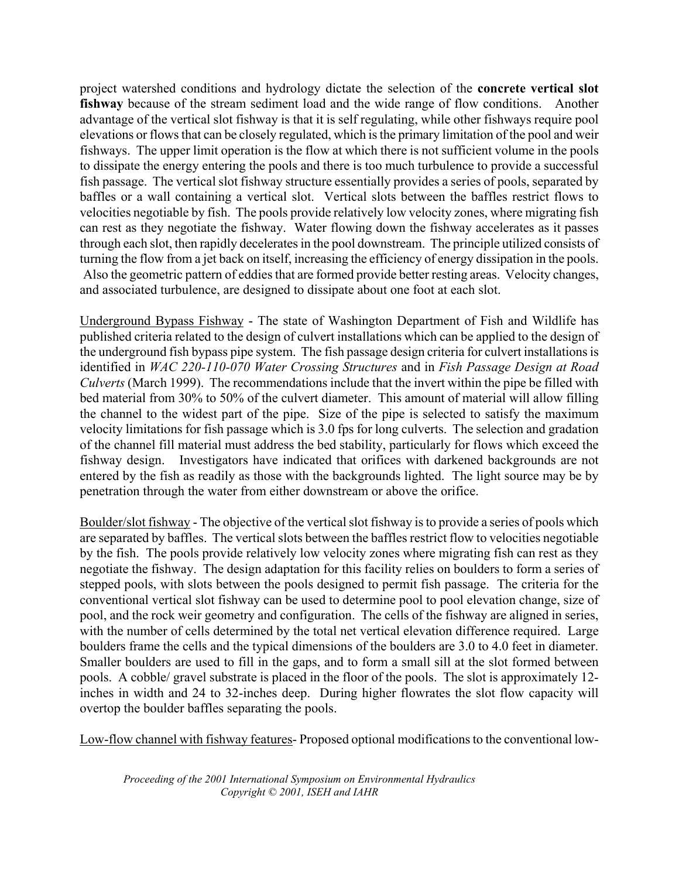project watershed conditions and hydrology dictate the selection of the **concrete vertical slot fishway** because of the stream sediment load and the wide range of flow conditions. Another advantage of the vertical slot fishway is that it is self regulating, while other fishways require pool elevations or flows that can be closely regulated, which is the primary limitation of the pool and weir fishways. The upper limit operation is the flow at which there is not sufficient volume in the pools to dissipate the energy entering the pools and there is too much turbulence to provide a successful fish passage. The vertical slot fishway structure essentially provides a series of pools, separated by baffles or a wall containing a vertical slot. Vertical slots between the baffles restrict flows to velocities negotiable by fish. The pools provide relatively low velocity zones, where migrating fish can rest as they negotiate the fishway. Water flowing down the fishway accelerates as it passes through each slot, then rapidly decelerates in the pool downstream. The principle utilized consists of turning the flow from a jet back on itself, increasing the efficiency of energy dissipation in the pools. Also the geometric pattern of eddies that are formed provide better resting areas. Velocity changes, and associated turbulence, are designed to dissipate about one foot at each slot.

Underground Bypass Fishway - The state of Washington Department of Fish and Wildlife has published criteria related to the design of culvert installations which can be applied to the design of the underground fish bypass pipe system. The fish passage design criteria for culvert installations is identified in *WAC 220-110-070 Water Crossing Structures* and in *Fish Passage Design at Road Culverts* (March 1999). The recommendations include that the invert within the pipe be filled with bed material from 30% to 50% of the culvert diameter. This amount of material will allow filling the channel to the widest part of the pipe. Size of the pipe is selected to satisfy the maximum velocity limitations for fish passage which is 3.0 fps for long culverts. The selection and gradation of the channel fill material must address the bed stability, particularly for flows which exceed the fishway design. Investigators have indicated that orifices with darkened backgrounds are not entered by the fish as readily as those with the backgrounds lighted. The light source may be by penetration through the water from either downstream or above the orifice.

Boulder/slot fishway - The objective of the vertical slot fishway is to provide a series of pools which are separated by baffles. The vertical slots between the baffles restrict flow to velocities negotiable by the fish. The pools provide relatively low velocity zones where migrating fish can rest as they negotiate the fishway. The design adaptation for this facility relies on boulders to form a series of stepped pools, with slots between the pools designed to permit fish passage. The criteria for the conventional vertical slot fishway can be used to determine pool to pool elevation change, size of pool, and the rock weir geometry and configuration. The cells of the fishway are aligned in series, with the number of cells determined by the total net vertical elevation difference required. Large boulders frame the cells and the typical dimensions of the boulders are 3.0 to 4.0 feet in diameter. Smaller boulders are used to fill in the gaps, and to form a small sill at the slot formed between pools. A cobble/ gravel substrate is placed in the floor of the pools. The slot is approximately 12 inches in width and 24 to 32-inches deep. During higher flowrates the slot flow capacity will overtop the boulder baffles separating the pools.

Low-flow channel with fishway features- Proposed optional modifications to the conventional low-